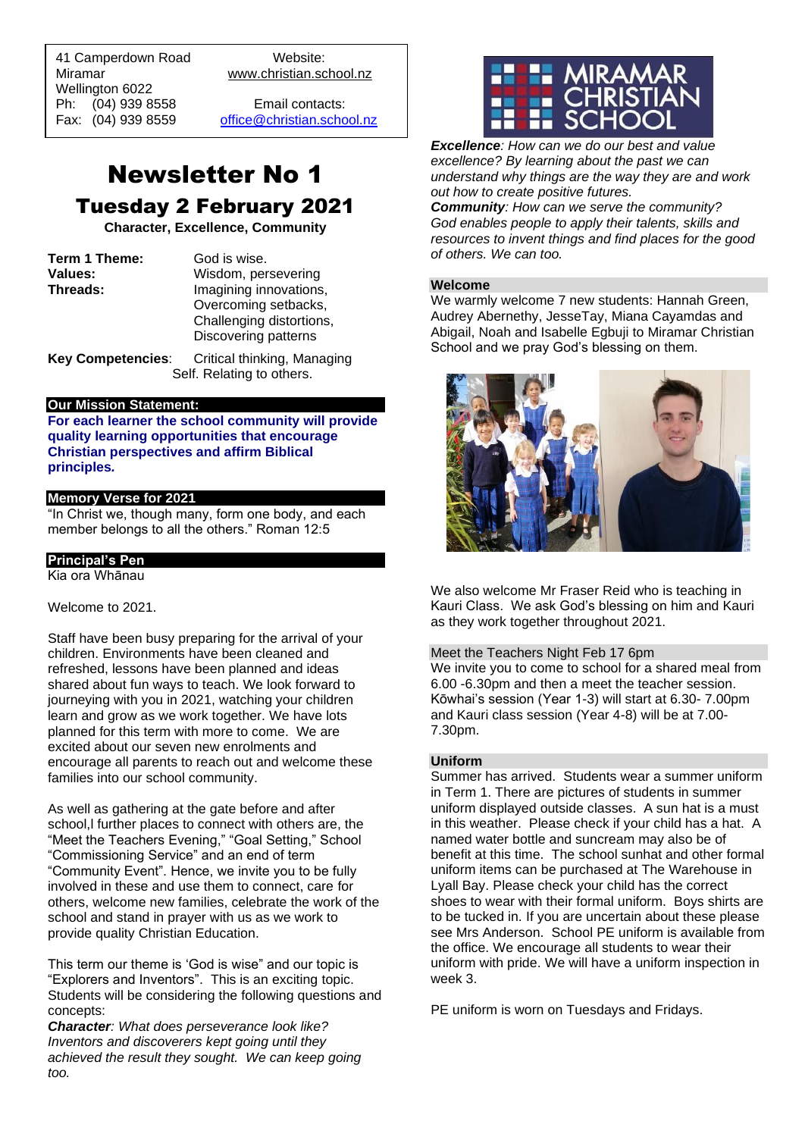41 Camperdown Road Website: Miramar www.christian.school.nz Wellington 6022 Ph: (04) 939 8558 Email contacts:

 $\overline{a}$ 

Fax: (04) 939 8559 [office@christian.school.nz](mailto:office@christian.school.nz)

## Newsletter No 1 Tuesday 2 February 2021

**Character, Excellence, Community**

| Term 1 Theme:  | God is wise.             |
|----------------|--------------------------|
| <b>Values:</b> | Wisdom, persevering      |
| Threads:       | Imagining innovations,   |
|                | Overcoming setbacks,     |
|                | Challenging distortions, |
|                | Discovering patterns     |
|                |                          |

**Key Competencies**: Critical thinking, Managing Self. Relating to others.

## **Our Mission Statement:**

**For each learner the school community will provide quality learning opportunities that encourage Christian perspectives and affirm Biblical principles***.*

## **Memory Verse for 2021**

"In Christ we, though many, form one body, and each member belongs to all the others." Roman 12:5

## **Principal's Pen**

Kia ora Whānau

## Welcome to 2021.

Staff have been busy preparing for the arrival of your children. Environments have been cleaned and refreshed, lessons have been planned and ideas shared about fun ways to teach. We look forward to journeying with you in 2021, watching your children learn and grow as we work together. We have lots planned for this term with more to come. We are excited about our seven new enrolments and encourage all parents to reach out and welcome these families into our school community.

As well as gathering at the gate before and after school,l further places to connect with others are, the "Meet the Teachers Evening," "Goal Setting," School "Commissioning Service" and an end of term "Community Event". Hence, we invite you to be fully involved in these and use them to connect, care for others, welcome new families, celebrate the work of the school and stand in prayer with us as we work to provide quality Christian Education.

This term our theme is 'God is wise" and our topic is "Explorers and Inventors". This is an exciting topic. Students will be considering the following questions and concepts:

*Character: What does perseverance look like? Inventors and discoverers kept going until they achieved the result they sought. We can keep going too.*



*Excellence: How can we do our best and value excellence? By learning about the past we can understand why things are the way they are and work out how to create positive futures.*

*Community: How can we serve the community? God enables people to apply their talents, skills and resources to invent things and find places for the good of others. We can too.*

## **Welcome**

We warmly welcome 7 new students: Hannah Green, Audrey Abernethy, JesseTay, Miana Cayamdas and Abigail, Noah and Isabelle Egbuji to Miramar Christian School and we pray God's blessing on them.



We also welcome Mr Fraser Reid who is teaching in Kauri Class. We ask God's blessing on him and Kauri as they work together throughout 2021.

## Meet the Teachers Night Feb 17 6pm

We invite you to come to school for a shared meal from 6.00 -6.30pm and then a meet the teacher session. Kōwhai's session (Year 1-3) will start at 6.30- 7.00pm and Kauri class session (Year 4-8) will be at 7.00- 7.30pm.

## **Uniform**

Summer has arrived. Students wear a summer uniform in Term 1. There are pictures of students in summer uniform displayed outside classes. A sun hat is a must in this weather. Please check if your child has a hat. A named water bottle and suncream may also be of benefit at this time. The school sunhat and other formal uniform items can be purchased at The Warehouse in Lyall Bay. Please check your child has the correct shoes to wear with their formal uniform. Boys shirts are to be tucked in. If you are uncertain about these please see Mrs Anderson. School PE uniform is available from the office. We encourage all students to wear their uniform with pride. We will have a uniform inspection in week 3.

PE uniform is worn on Tuesdays and Fridays.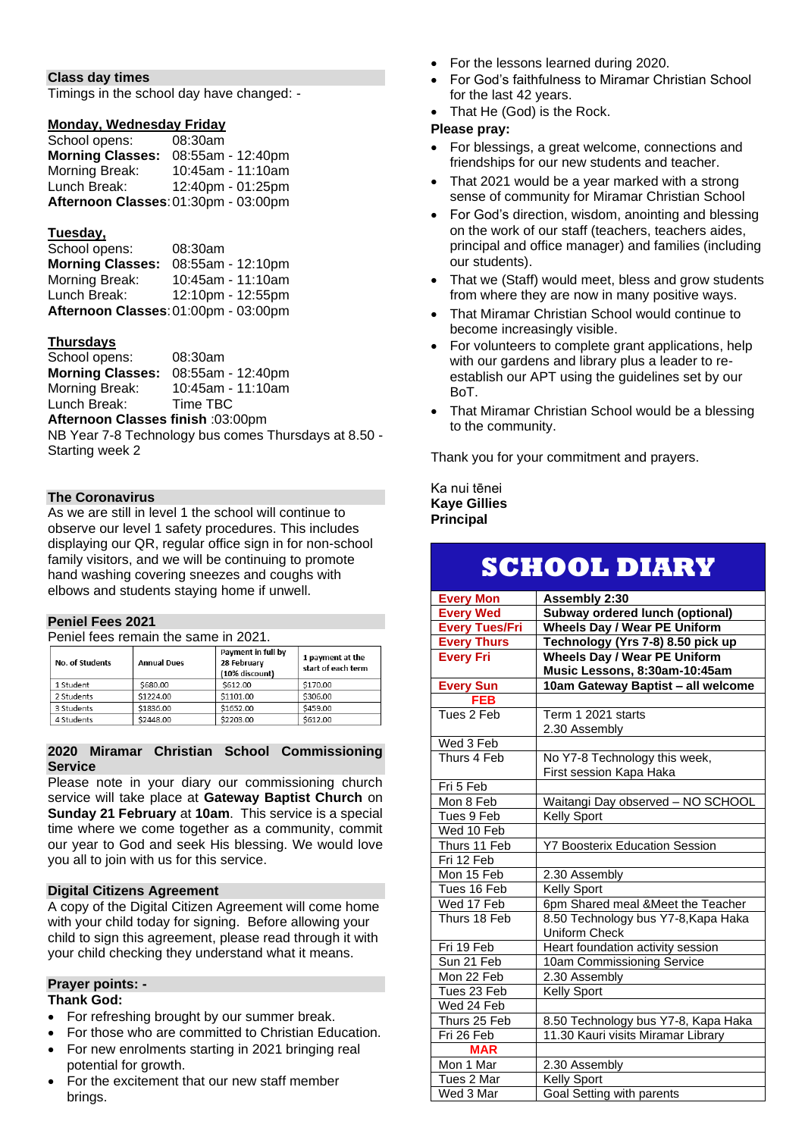## **Class day times**

Timings in the school day have changed: -

## **Monday, Wednesday Friday**

| School opens:                        | 08:30am           |
|--------------------------------------|-------------------|
| <b>Morning Classes:</b>              | 08:55am - 12:40pm |
| Morning Break:                       | 10:45am - 11:10am |
| Lunch Break:                         | 12:40pm - 01:25pm |
| Afternoon Classes: 01:30pm - 03:00pm |                   |

## **Tuesday,**

| School opens:           | 08:30am                              |
|-------------------------|--------------------------------------|
| <b>Morning Classes:</b> | 08:55am - 12:10pm                    |
| Morning Break:          | 10:45am - 11:10am                    |
| Lunch Break:            | 12:10pm - 12:55pm                    |
|                         | Afternoon Classes: 01:00pm - 03:00pm |

## **Thursdays**

| School opens:           | 08:30am           |
|-------------------------|-------------------|
| <b>Morning Classes:</b> | 08:55am - 12:40pm |
| Morning Break:          | 10:45am - 11:10am |
| Lunch Break:            | Time TBC          |

**Afternoon Classes finish** :03:00pm

NB Year 7-8 Technology bus comes Thursdays at 8.50 - Starting week 2

## **The Coronavirus**

As we are still in level 1 the school will continue to observe our level 1 safety procedures. This includes displaying our QR, regular office sign in for non-school family visitors, and we will be continuing to promote hand washing covering sneezes and coughs with elbows and students staying home if unwell.

#### **Peniel Fees 2021**

Peniel fees remain the same in 2021.

| No. of Students | <b>Annual Dues</b> | Payment in full by<br>28 February<br>(10% discount) | 1 payment at the<br>start of each term |
|-----------------|--------------------|-----------------------------------------------------|----------------------------------------|
| 1 Student       | \$680.00           | \$612.00                                            | \$170.00                               |
| 2 Students      | \$1224.00          | \$1101.00                                           | \$306.00                               |
| 3 Students      | \$1836.00          | \$1652.00                                           | \$459.00                               |
| 4 Students      | \$2448.00          | \$2203.00                                           | \$612.00                               |

### **2020 Miramar Christian School Commissioning Service**

Please note in your diary our commissioning church service will take place at **Gateway Baptist Church** on **Sunday 21 February** at **10am**. This service is a special time where we come together as a community, commit our year to God and seek His blessing. We would love you all to join with us for this service.

## **Digital Citizens Agreement**

A copy of the Digital Citizen Agreement will come home with your child today for signing. Before allowing your child to sign this agreement, please read through it with your child checking they understand what it means.

### **Prayer points: -**

### **Thank God:**

- For refreshing brought by our summer break.
- For those who are committed to Christian Education.
- For new enrolments starting in 2021 bringing real potential for growth.
- For the excitement that our new staff member brings.
- For the lessons learned during 2020.
- For God's faithfulness to Miramar Christian School for the last 42 years.
- That He (God) is the Rock.

## **Please pray:**

- For blessings, a great welcome, connections and friendships for our new students and teacher.
- That 2021 would be a year marked with a strong sense of community for Miramar Christian School
- For God's direction, wisdom, anointing and blessing on the work of our staff (teachers, teachers aides, principal and office manager) and families (including our students).
- That we (Staff) would meet, bless and grow students from where they are now in many positive ways.
- That Miramar Christian School would continue to become increasingly visible.
- For volunteers to complete grant applications, help with our gardens and library plus a leader to reestablish our APT using the guidelines set by our BoT.
- That Miramar Christian School would be a blessing to the community.

Thank you for your commitment and prayers.

Ka nui tēnei **Kaye Gillies Principal**

# **SCHOOL DIARY**

| <b>Every Mon</b>               | Assembly 2:30                         |
|--------------------------------|---------------------------------------|
| <b>Every Wed</b>               | Subway ordered lunch (optional)       |
| <b>Every Tues/Fri</b>          | <b>Wheels Day / Wear PE Uniform</b>   |
| <b>Every Thurs</b>             | Technology (Yrs 7-8) 8.50 pick up     |
| <b>Every Fri</b>               | <b>Wheels Day / Wear PE Uniform</b>   |
|                                | Music Lessons, 8:30am-10:45am         |
| <b>Every Sun</b>               | 10am Gateway Baptist - all welcome    |
| <b>FEB</b>                     |                                       |
| Tues 2 Feb                     | Term 1 2021 starts                    |
|                                | 2.30 Assembly                         |
| Wed 3 Feb                      |                                       |
| Thurs 4 Feb                    | No Y7-8 Technology this week,         |
|                                | First session Kapa Haka               |
| Fri 5 Feb                      |                                       |
| Mon 8 Feb                      | Waitangi Day observed - NO SCHOOL     |
| Tues 9 Feb                     | <b>Kelly Sport</b>                    |
| Wed 10 Feb                     |                                       |
| Thurs 11 Feb                   | <b>Y7 Boosterix Education Session</b> |
| Fri 12 Feb                     |                                       |
| Mon 15 Feb                     | 2.30 Assembly                         |
| Tues 16 Feb                    | <b>Kelly Sport</b>                    |
| Wed 17 Feb                     | 6pm Shared meal &Meet the Teacher     |
| Thurs 18 Feb                   | 8.50 Technology bus Y7-8, Kapa Haka   |
|                                | <b>Uniform Check</b>                  |
| Fri 19 Feb                     | Heart foundation activity session     |
| Sun 21 Feb                     | 10am Commissioning Service            |
| $\overline{\text{Mon }22}$ Feb | 2.30 Assembly                         |
| Tues 23 Feb                    | <b>Kelly Sport</b>                    |
| Wed 24 Feb                     |                                       |
| Thurs 25 Feb                   | 8.50 Technology bus Y7-8, Kapa Haka   |
| Fri 26 Feb                     | 11.30 Kauri visits Miramar Library    |
| <b>MAR</b>                     |                                       |
| Mon 1 Mar                      | 2.30 Assembly                         |
| Tues 2 Mar                     | <b>Kelly Sport</b>                    |
| Wed 3 Mar                      | Goal Setting with parents             |